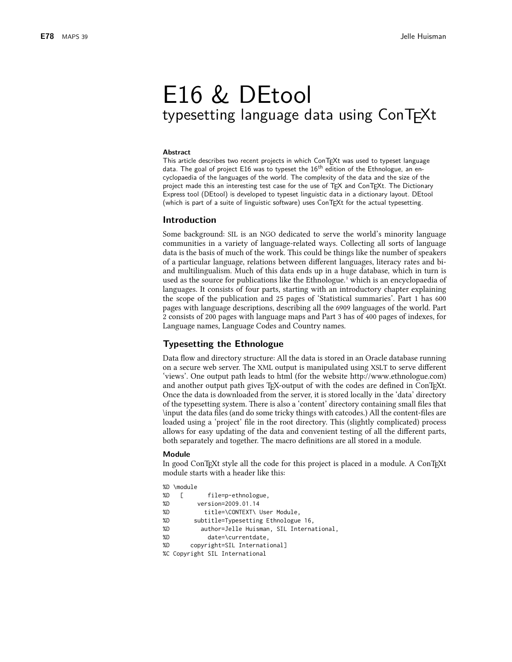# E16 & DEtool typesetting language data using ConTEXt

#### **Abstract**

This article describes two recent projects in which ConTEXt was used to typeset language data. The goal of project E16 was to typeset the 16<sup>th</sup> edition of the Ethnologue, an encyclopaedia of the languages of the world. The complexity of the data and the size of the project made this an interesting test case for the use of TEX and ConTEXt. The Dictionary Express tool (DEtool) is developed to typeset linguistic data in a dictionary layout. DEtool (which is part of a suite of linguistic software) uses ConTEXt for the actual typesetting.

## **Introduction**

Some background: SIL is an NGO dedicated to serve the world's minority language communities in a variety of language-related ways. Collecting all sorts of language data is the basis of much of the work. This could be things like the number of speakers of a particular language, relations between different languages, literacy rates and biand multilingualism. Much of this data ends up in a huge database, which in turn is used as the source for publications like the Ethnologue.<sup>1</sup> which is an encyclopaedia of languages. It consists of four parts, starting with an introductory chapter explaining the scope of the publication and 25 pages of 'Statistical summaries'. Part 1 has 600 pages with language descriptions, describing all the 6909 languages of the world. Part 2 consists of 200 pages with language maps and Part 3 has of 400 pages of indexes, for Language names, Language Codes and Country names.

## **Typesetting the Ethnologue**

Data flow and directory structure: All the data is stored in an Oracle database running on a secure web server. The XML output is manipulated using XSLT to serve different 'views'. One output path leads to html (for the website http://www.ethnologue.com) and another output path gives TFX-output of with the codes are defined in ConTFXt. Once the data is downloaded from the server, it is stored locally in the 'data' directory of the typesetting system. There is also a 'content' directory containing small files that \input the data files (and do some tricky things with catcodes.) All the content-files are loaded using a 'project' file in the root directory. This (slightly complicated) process allows for easy updating of the data and convenient testing of all the different parts, both separately and together. The macro definitions are all stored in a module.

#### **Module**

In good ConTEXt style all the code for this project is placed in a module. A ConTEXt module starts with a header like this:

|    | %D \module                               |  |
|----|------------------------------------------|--|
| %D | file=p-ethnologue,<br>L                  |  |
| %D | version=2009.01.14                       |  |
| %D | title=\CONTEXT\ User Module,             |  |
| %D | subtitle=Typesetting Ethnologue 16,      |  |
| %D | author=Jelle Huisman, SIL International, |  |
| %D | date=\currentdate,                       |  |
| %D | copyright=SIL International]             |  |
|    | %C Copyright SIL International           |  |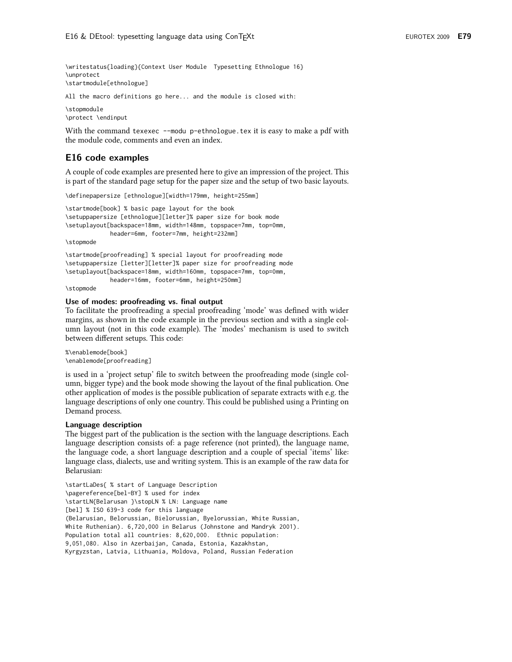\writestatus{loading}{Context User Module Typesetting Ethnologue 16} \unprotect \startmodule[ethnologue]

All the macro definitions go here... and the module is closed with:

\stopmodule

\protect \endinput

With the command texexec --modu p-ethnologue. tex it is easy to make a pdf with the module code, comments and even an index.

## E16 code examples

A couple of code examples are presented here to give an impression of the project. This is part of the standard page setup for the paper size and the setup of two basic layouts.

\definepapersize [ethnologue][width=179mm, height=255mm]

\startmode[book] % basic page layout for the book \setuppapersize [ethnologue][letter]% paper size for book mode \setuplayout[backspace=18mm, width=148mm, topspace=7mm, top=0mm, header=6mm, footer=7mm, height=232mm]

\stopmode

\startmode[proofreading] % special layout for proofreading mode \setuppapersize [letter][letter]% paper size for proofreading mode \setuplayout[backspace=18mm, width=160mm, topspace=7mm, top=0mm, header=16mm, footer=6mm, height=250mm]

\stopmode

#### Use of modes: proofreading vs. final output

To facilitate the proofreading a special proofreading 'mode' was defined with wider margins, as shown in the code example in the previous section and with a single column layout (not in this code example). The 'modes' mechanism is used to switch between different setups. This code:

%\enablemode[book] \enablemode[proofreading]

is used in a 'project setup' file to switch between the proofreading mode (single column, bigger type) and the book mode showing the layout of the final publication. One other application of modes is the possible publication of separate extracts with e.g. the language descriptions of only one country. This could be published using a Printing on Demand process.

#### Language description

The biggest part of the publication is the section with the language descriptions. Each language description consists of: a page reference (not printed), the language name, the language code, a short language description and a couple of special 'items' like: language class, dialects, use and writing system. This is an example of the raw data for Belarusian:

\startLaDes{ % start of Language Description \pagereference[bel-BY] % used for index \startLN{Belarusan }\stopLN % LN: Language name [bel] % ISO 639-3 code for this language (Belarusian, Belorussian, Bielorussian, Byelorussian, White Russian, White Ruthenian). 6,720,000 in Belarus (Johnstone and Mandryk 2001). Population total all countries: 8,620,000. Ethnic population: 9,051,080. Also in Azerbaijan, Canada, Estonia, Kazakhstan, Kyrgyzstan, Latvia, Lithuania, Moldova, Poland, Russian Federation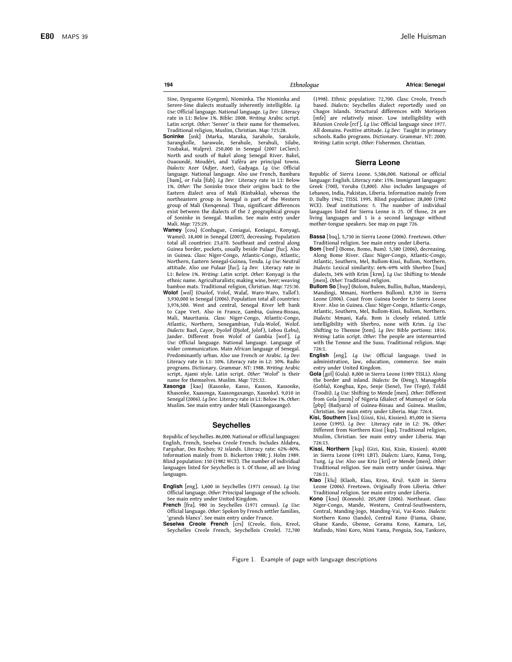194

Africa: Senegal

Sine, Dyegueme (Gyegem), Niominka. The Niominka and Serere-Sine dialects mutually inherently intelligible. Lg Use: Official language. National language. Lg Dev: Literacy rate in L1: Below 1%. Bible: 2008. Writing: Arabic script. Latin script. Other: 'Sereer' is their name for themselves. Traditional religion, Muslim, Christian. Map: 725:28.

Soninke [snk] (Marka, Maraka, Sarahole, Sarakole, Sarangkolle, Sarawule, Serahule, Serahuli, Silabe, Toubakai, Walpre). 250,000 in Senegal (2007 LeClerc). North and south of Bakel along Senegal River. Bakel, Ouaoundé, Moudéri, and Yaféra are principal towns. Dialects: Azer (Adjer, Aser), Gadyaga. Lg Use: Official language. National language. Also use French, Bambara [bam], or Fula [fub]. Lg Dev: Literacy rate in L1: Below 1%. Other: The Soninke trace their origins back to the Eastern dialect area of Mali (Kinbakka), whereas the northeastern group in Senegal is part of the Western group of Mali (Xenqenna). Thus, significant differences exist between the dialects of the 2 geographical groups of Soninke in Senegal. Muslim. See main entry under Mali Man: 725.29

Wamey Icoul (Conhague, Conjagui, Konjagui, Konyagi, Wamei). 18,400 in Senegal (2007), decreasing. Population total all countries: 23,670. Southeast and central along Guinea border, pockets, usually beside Pulaar [fuc]. Also in Guinea. Class: Niger-Congo, Atlantic-Congo, Atlantic, Northern, Eastern Senegal-Guinea, Tenda. Lg Use: Neutral attitude. Also use Pulaar [fuc]. Lg Dev: Literacy rate in L1: Below 1%. Writing: Latin script. Other: Konyagi is the ethnic name. Agriculturalists; making wine, beer; weaving bamboo mats. Traditional religion, Christian. Map: 725:30. Wolof [wol] (Ouolof, Volof, Walaf, Waro-Waro, Yallof).

- 3,930,000 in Senegal (2006). Population total all countries: 3,976,500. West and central, Senegal River left bank to Cape Vert. Also in France, Gambia, Guinea-Bissau, Mali, Mauritania. Class: Niger-Congo, Atlantic-Congo, Atlantic, Northern, Senegambian, Fula-Wolof, Wolof. Dialects: Baol, Cayor, Dyolof (Djolof, Jolof), Lebou (Lebu), Jander. Different from Wolof of Gambia [wof]. Lg Use: Official language. National language. Language of wider communication. Main African language of Senegal. Predominantly urban. Also use French or Arabic. Lg Dev: Literacy rate in L1: 10%. Literacy rate in L2: 30%. Radio programs. Dictionary. Grammar. NT: 1988. Writing: Arabic script, Ajami style. Latin script. Other: 'Wolof' is their<br>name for themselves. Muslim. Map: 725:32.
- Xasonga [kao] (Kasonke, Kasso, Kasson, Kassonke, Khasonke, Xaasonga, Xaasongaxango, Xasonke). 9,010 in Senegal (2006). Lg Dev: Literacy rate in L1: Below 1%. Other: Muslim. See main entry under Mali (Xaasongaxango).

#### **Sevchelles**

Republic of Seychelles. 86,000. National or official languages: English, French, Seselwa Creole French. Includes Aldabra, Farquhar, Des Roches; 92 islands. Literacy rate: 62%-80%. Information mainly from D. Bickerton 1988; I. Holm 1989. Blind population: 150 (1982 WCE). The number of individual languages listed for Seychelles is 3. Of those, all are living languages.

- English [eng]. 1,600 in Seychelles (1971 census). Lg Use: Official language. Other: Principal language of the schools. See main entry under United Kingdom.
- French [fra]. 980 in Seychelles (1971 census). Lg Use: Official language. Other: Spoken by French settler families, 'grands blancs'. See main entry under France.

Seselwa Creole French [crs] (Creole, Ilois, Kreol, Seychelles Creole French, Seychellois Creole). 72,700

(1998). Ethnic population: 72,700. Class: Creole, French based. Dialects: Seychelles dialect reportedly used on Chagos Islands. Structural differences with Morisyen [mfe] are relatively minor. Low intelligibility with Réunion Creole [rcf]. Lq Use: Official language since 1977. All domains. Positive attitude. Lq Dev: Taught in primary schools. Radio programs. Dictionary. Grammar. NT: 2000. Writing: Latin script. Other: Fishermen. Christian.

#### **Sierra Leone**

Republic of Sierra Leone. 5,586,000. National or official language: English. Literacy rate: 15%. Immigrant languages: Greek (700), Yoruba (3,800). Also includes languages of Lebanon, India, Pakistan, Liberia. Information mainly from D. Dalby 1962; TISSL 1995. Blind population: 28,000 (1982 WCE). Deaf institutions: 5. The number of individual languages listed for Sierra Leone is 25. Of those, 24 are living languages and 1 is a second language without mother-tongue speakers. See map on page 726.

- Bassa [bsq]. 5,730 in Sierra Leone (2006). Freetown. Other: Traditional religion. See main entry under Liberia.
- Bom [bmf] (Bome, Bomo, Bum). 5,580 (2006), decreasing. Along Bome River. Class: Niger-Congo, Atlantic-Congo, Atlantic, Southern, Mel, Bullom-Kissi, Bullom, Northern. Dialects: Lexical similarity: 66%-69% with Sherbro [bun] dialects, 34% with Krim [krm]. Lq Use: Shifting to Mende [men]. Other: Traditional religion.
- Bullom So [buy] (Bolom, Bulem, Bullin, Bullun, Mandenyi, Mandingi, Mmani, Northern Bullom). 8,350 in Sierra Leone (2006). Coast from Guinea border to Sierra Leone River. Also in Guinea. Class: Niger-Congo, Atlantic-Congo, Atlantic, Southern, Mel, Bullom-Kissi, Bullom, Northern. Dialects: Mmani, Kafu. Bom is closely related. Little intelligibility with Sherbro, none with Krim. Lg Use: Shifting to Themne [tem]. Lg Dev: Bible portions: 1816. Writing: Latin script. Other: The people are intermarried with the Temne and the Susu. Traditional religion. Map: 726:1.
- English [eng]. Lg Use: Official language. Used in administration, law, education, commerce. See main entry under United Kingdom.
- Gola [gol] (Gula), 8,000 in Sierra Leone (1989 TISLL), Along the border and inland. Dialects: De (Deng), Managobla (Gobla), Kongbaa, Kpo, Senje (Sene), Tee (Tege), Toldil (Toodii). Lg Use: Shifting to Mende [men]. Other: Different from Gola [mzm] of Nigeria (dialect of Mumuye) or Gola [pbp] (Badyara) of Guinea-Bissau and Guinea. Muslim, Christian. See main entry under Liberia. Map: 726:4.
- Kisi, Southern [kss] (Gissi, Kisi, Kissien). 85,000 in Sierra Leone (1995). Lg Dev: Literacy rate in L2: 3%. Other: Different from Northern Kissi [kqs]. Traditional religion, Muslim, Christian. See main entry under Liberia. Map:  $726:13$
- Kissi, Northern [kas] (Gizi, Kisi, Kisie, Kissien), 40,000 in Sierra Leone (1991 LBT). Dialects: Liaro, Kama, Teng, Tung. La Use: Also use Krio [kri] or Mende [men]. Other: Traditional religion. See main entry under Guinea. Map: 726:11.
- Klao [klu] (Klaoh, Klau, Kroo, Kru). 9,620 in Sierra Leone (2006). Freetown. Originally from Liberia. Other: Traditional religion. See main entry under Liberia.
- Kono [kno] (Konnoh). 205,000 (2006). Northeast. Class: Niger-Congo, Mande, Western, Central-Southwestern, Central, Manding-Jogo, Manding-Vai, Vai-Kono. Dialects: Northern Kono (Sando), Central Kono (Fiama, Gbane, Gbane Kando, Gbense, Gorama Kono, Kamara, Lei, Mafindo, Nimi Koro, Nimi Yama, Penguia, Soa, Tankoro,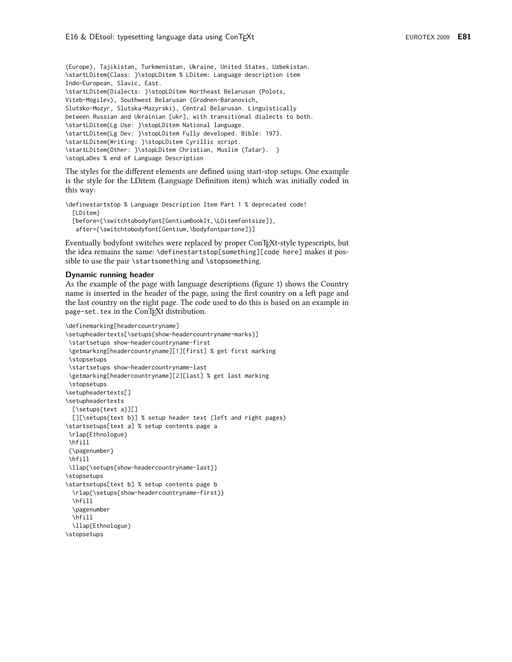(Europe), Tajikistan, Turkmenistan, Ukraine, United States, Uzbekistan. \startLDitem{Class: }\stopLDitem % LDitem: Language description item Indo-European, Slavic, East. \startLDitem{Dialects: }\stopLDitem Northeast Belarusan (Polots, Viteb-Mogilev), Southwest Belarusan (Grodnen-Baranovich, Slutsko-Mozyr, Slutska-Mazyrski), Central Belarusan. Linguistically between Russian and Ukrainian [ukr], with transitional dialects to both. \startLDitem{Lg Use: }\stopLDitem National language. \startLDitem{Lg Dev: }\stopLDitem Fully developed. Bible: 1973. \startLDitem{Writing: }\stopLDitem Cyrillic script. \startLDitem{Other: }\stopLDitem Christian, Muslim (Tatar). } \stopLaDes % end of Language Description

The styles for the different elements are defined using start-stop setups. One example is the style for the LDitem (Language Definition item) which was initially coded in this way:

\definestartstop % Language Description Item Part 1 % deprecated code! **TLDiteml** [before={\switchtobodyfont[GentiumBookIt,\LDitemfontsize]}, after={\switchtobodyfont[Gentium,\bodyfontpartone]}]

Eventually bodyfont switches were replaced by proper ConTFXt-style typescripts, but the idea remains the same: \definestartstop[something][code here] makes it possible to use the pair \startsomething and \stopsomething.

#### Dynamic running header

As the example of the page with language descriptions (figure 1) shows the Country name is inserted in the header of the page, using the first country on a left page and the last country on the right page. The code used to do this is based on an example in page-set.tex in the ConTFXt distribution.

```
\definemarking[headercountryname]
\setupheadertexts[\setups{show-headercountryname-marks}]
 \startsetups show-headercountryname-first
 \getmarking[headercountryname][1][first] % get first marking
 \stopsetups
 \startsetups show-headercountryname-last
 \getmarking[headercountryname][2][last] % get last marking
 \stopsetups
\setupheadertexts[]
\setupheadertexts
  [\setups{text a}][]
  [][\setups{text b}] % setup header text (left and right pages)
\startsetups[text a] % setup contents page a
 \rlap{Ethnologue}
 \hfill
 {\pagenumber}
 \hfill
 \llap{\setups{show-headercountryname-last}}
\stopsetups
\startsetups[text b] % setup contents page b
  \rlap{\setups{show-headercountryname-first}}
  \hfill
  \pagenumber
  \hfill
  \llap{Ethnologue}
\stopsetups
```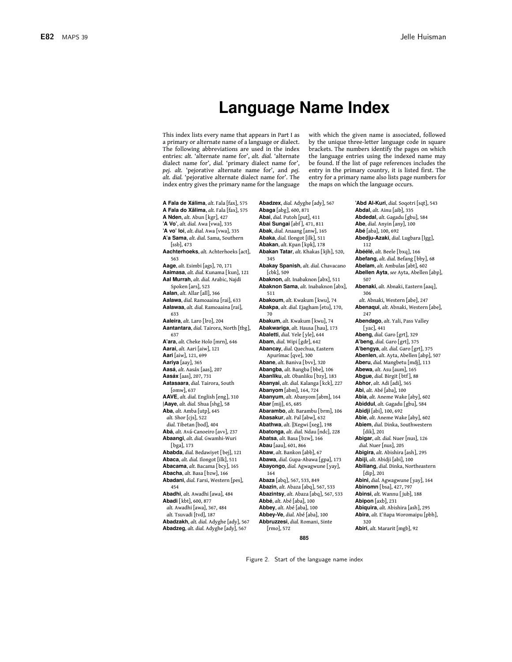## **Language Name Index**

This index lists every name that appears in Part I as a primary or alternate name of a language or dialect. The following abbreviations are used in the index entries: alt. 'alternate name for', alt. dial. 'alternate dialect name for', dial. 'primary dialect name for', pej. alt. 'pejorative alternate name for', and pej. alt. dial. 'pejorative alternate dialect name for'. The index entry gives the primary name for the language

with which the given name is associated, followed by the unique three-letter language code in square brackets. The numbers identify the pages on which the language entries using the indexed name may be found. If the list of page references includes the entry in the primary country, it is listed first. The entry for a primary name also lists page numbers for the maps on which the language occurs.

A Fala de Xálima, alt. Fala [fax], 575 A Fala do Xãlima, alt. Fala [fax], 575 A Nden, alt. Abun [ $kgr$ ], 427 'A Vo', alt. dial. Awa [vwa], 335 'A vo' loi, alt. dial. Awa [ywa], 335 A'a Sama, alt. dial. Sama, Southern  $[ssb]$ , 473 Aachterhoeks, alt. Achterhoeks [act], 563 Aage, alt. Esimbi [ags], 70, 171 Aaimasa, alt. dial. Kunama [kun], 121 Aal Murrah, alt. dial. Arabic, Najdi Spoken [ars], 523 Aalan, alt. Allar [all], 366 Aalawa, dial. Ramoaaina [rai], 633 Aalawaa, alt. dial. Ramoaaina [rai], 633 Aaleira alt Laro [Iro] 204 Aantantara, dial. Tairora, North [tbg], 637 A'ara, alt. Cheke Holo [mrn], 646 Aarai, alt. Aari [aiw], 121 Aari [aiw], 121, 699 Aariva [aav], 365 Aasá, alt. Aasáx [aas], 207 Aasáx [aas], 207, 731 Aatasaara, dial. Tairora, South [omw], 637 AAVE, alt. dial. English [eng], 310  $|{\bf A}$ aye, alt. dial. Shua  $[shg]$ , 58 Aba, alt. Amba [utp], 645  $alt.$  Shor  $[cis]$ , 522 dial. Tibetan [bod], 404 Abá, alt. Avá-Canoeiro [avv], 237 Abaangi, alt. dial. Gwamhi-Wuri [bga], 173 Ababda, dial. Bedawiyet [bej], 121 Abaca, alt. dial. Ilongot [ilk], 511 Abacama, alt. Bacama [bcy], 165 Abacha. alt. Basa [bzw], 166 Abadani, dial. Farsi, Western [pes], 454 Abadhi, alt. Awadhi [awa], 484 Abadi [kbt], 600, 877 alt. Awadhi [awa], 367, 484 alt. Tsuvadi [tvd], 187 Abadzakh, alt. dial. Advehe [adv], 567 Abadzeg, alt. dial. Adyghe [ady], 567

Abadzex, dial. Adyghe [ady], 567 Abaga [abg], 600, 871 Abai, dial. Putoh [put], 411 Abai Sungai [abf], 471, 811 Abak, dial. Anaang [anw], 165 Abaka, dial. Ilongot [ilk], 511 Abakan, alt. Kpan [kpk], 178 Abakan Tatar, alt. Khakas [kjh], 520, 345 Abakay Spanish, alt. dial. Chavacano [cbk], 509 Abaknon, alt. Inabaknon [abx], 511 Abaknon Sama, alt. Inabaknon [abx], 511 Abakoum, alt. Kwakum [kwu], 74 Abakpa, alt. dial. Ejagham [etu], 170, 70 Abakum, alt. Kwakum [kwu], 74 Abakwariga, alt. Hausa [hau], 173 Abaletti, dial. Yele [yle], 644 Abam, dial. Wipi [gdr], 642 Abancay, dial. Quechua, Eastern Apurímac [qve], 300 Abane, alt. Baniva [bvv], 320 Abangba, alt. Bangba [bbe], 106 Abanliku, alt. Obanliku [bzy], 183 Abanyai, alt. dial. Kalanga [kck], 227 Abanyom [abm], 164, 724 Abanyum, alt. Abanyom [abm], 164 Abar [mij], 65, 685 Abarambo, alt. Barambu [brm], 106 Abasakur, alt. Pal [abw], 632 Abathwa, alt. | Xegwi [xeg], 198 Abatonga, alt. dial. Ndau [ndc], 228 Abatsa, alt. Basa [bzw], 166 Abau [aau], 601, 866 Abaw, alt. Bankon [abb], 67 Abawa, dial. Gupa-Abawa [gpa], 173 Abayongo, dial. Agwagwune [yay], 164 Abaza [abq], 567, 533, 849 Abazin, alt. Abaza [abq], 567, 533 Abazintsy, alt. Abaza [abq], 567, 533 Abbé, alt. Abé [aba], 100 Abbey, alt. Abé [aba], 100 Abbey-Ve, dial. Abé [aba], 100 Abbruzzesi, dial. Romani, Sinte  $[{\rm rms}]$ , 572

'Abd Al-Kuri, dial. Soqotri [sqt], 543 Abdal, alt. Ainu [aib], 335 Abdedal, alt. Gagadu [gbu], 584 Abe, dial. Anyin [any], 100 Abé [aba], 100, 692 Abedju-Azaki, dial. Lugbara [lgg], 112 Àbéélé, alt. Beele [bxq], 166 Abefang, alt. dial. Befang [bby], 68 Abelam, alt. Ambulas [abt], 602 Abellen Ayta, see Ayta, Abellen [abp], 507 Abenaki, alt. Abnaki, Eastern [aaq], 306 alt. Abnaki, Western [abe], 247 Abenaqui, alt. Abnaki, Western [abe], 247 Abendago, alt. Yali, Pass Valley [yac], 441 Abeng, dial. Garo [grt], 329 A'beng, dial. Garo [grt], 375 A'bengya, alt. dial. Garo [grt], 375 Abenlen, alt. Ayta, Abellen [abp], 507 Aberu, dial. Mangbetu [mdj], 113 Abewa, alt. Asu [aum], 165 Abgue, dial. Birgit [btf], 88 Abhor. alt. Adi [adi], 365 Abi, alt. Abé [aba], 100 Abia, alt. Aneme Wake [aby], 602 Abiddul, alt. Gagadu [gbu], 584 Abidji [abi], 100, 692 Abie, alt. Aneme Wake [aby], 602 Abiem, dial. Dinka, Southwestern [dik], 201 Abigar, alt. dial. Nuer [nus], 126 dial. Nuer [nus], 205 Abigira, alt. Abishira [ash], 295 Abiji, alt. Abidji [abi], 100 Abiliang, dial. Dinka, Northeastern  $[dip]$ , 201 Abini, dial. Agwagwune [yay], 164 Abinomn [bsa], 427, 797 Abinsi, alt. Wannu [ jub], 188 Abipon [axb], 231 Abiquira, alt. Abishira [ash], 295 Abira, alt. E'ñapa Woromaipu [pbh], 320 Abiri, alt. Mararit [mgb], 92

885

Figure 2. Start of the language name index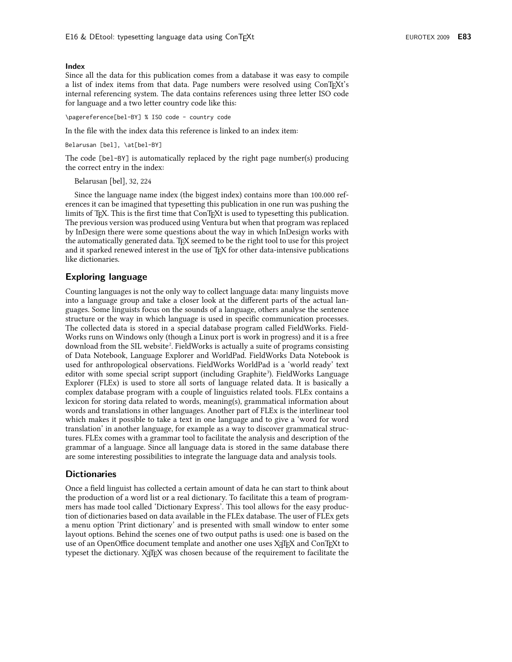#### Index

Since all the data for this publication comes from a database it was easy to compile a list of index items from that data. Page numbers were resolved using ConTFXt's internal referencing system. The data contains references using three letter ISO code for language and a two letter country code like this:

\pagereference[bel-BY] % ISO code - country code

In the file with the index data this reference is linked to an index item:

Belarusan [bel], \at[bel-BY]

The code [be1-BY] is automatically replaced by the right page number(s) producing the correct entry in the index:

Belarusan [bel], 32, 224

Since the language name index (the biggest index) contains more than 100.000 references it can be imagined that typesetting this publication in one run was pushing the limits of T<sub>F</sub>X. This is the first time that ConT<sub>F</sub>Xt is used to typesetting this publication. The previous version was produced using Ventura but when that program was replaced by InDesign there were some questions about the way in which InDesign works with the automatically generated data. TFX seemed to be the right tool to use for this project and it sparked renewed interest in the use of TFX for other data-intensive publications like dictionaries.

## **Exploring language**

Counting languages is not the only way to collect language data: many linguists move into a language group and take a closer look at the different parts of the actual languages. Some linguists focus on the sounds of a language, others analyse the sentence structure or the way in which language is used in specific communication processes. The collected data is stored in a special database program called FieldWorks. Field-Works runs on Windows only (though a Linux port is work in progress) and it is a free download from the SIL website<sup>2</sup>. Field Works is actually a suite of programs consisting of Data Notebook, Language Explorer and WorldPad. FieldWorks Data Notebook is used for anthropological observations. FieldWorks WorldPad is a 'world ready' text editor with some special script support (including Graphite<sup>3</sup>). FieldWorks Language Explorer (FLEx) is used to store all sorts of language related data. It is basically a complex database program with a couple of linguistics related tools. FLEx contains a lexicon for storing data related to words, meaning(s), grammatical information about words and translations in other languages. Another part of FLEx is the interlinear tool which makes it possible to take a text in one language and to give a 'word for word translation' in another language, for example as a way to discover grammatical structures. FLEx comes with a grammar tool to facilitate the analysis and description of the grammar of a language. Since all language data is stored in the same database there are some interesting possibilities to integrate the language data and analysis tools.

### **Dictionaries**

Once a field linguist has collected a certain amount of data he can start to think about the production of a word list or a real dictionary. To facilitate this a team of programmers has made tool called 'Dictionary Express'. This tool allows for the easy production of dictionaries based on data available in the FLEx database. The user of FLEx gets a menu option 'Print dictionary' and is presented with small window to enter some layout options. Behind the scenes one of two output paths is used: one is based on the use of an OpenOffice document template and another one uses XqTFX and ConTFXt to typeset the dictionary. Xallex was chosen because of the requirement to facilitate the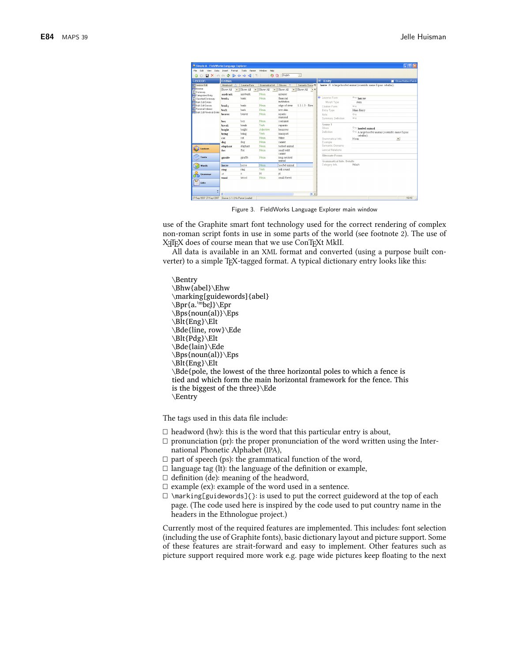| Simple A - FieldWorks Language Explorer                      |                                                                                                           |                                      |                                   |                      |                                         |                                                                 |                   | IL IDIX                                          |
|--------------------------------------------------------------|-----------------------------------------------------------------------------------------------------------|--------------------------------------|-----------------------------------|----------------------|-----------------------------------------|-----------------------------------------------------------------|-------------------|--------------------------------------------------|
| File Edit<br><b>Weye</b>                                     | Data Insert Format Tools                                                                                  | Parser                               | Window<br>Help                    |                      |                                         |                                                                 |                   |                                                  |
| $\odot$<br>Q                                                 | $\mathbb{R} \times \mathbb{R} \rightarrow \mathbb{R} \times \mathbb{R}$ or $\mathbb{R} \times \mathbb{R}$ |                                      | ÷.                                | : English<br>iã.     | $\overline{\phantom{a}}$                |                                                                 |                   |                                                  |
| Lexicon                                                      | Entries                                                                                                   |                                      |                                   |                      |                                         | $\odot$ Entry<br>Show Hidden Fields<br>п                        |                   |                                                  |
| <b>HTLexicon Edit</b>                                        | <b>Headword</b>                                                                                           | Lexeme Form                          | Grammatical Inf                   | Glosses<br>$\nabla$  | Semantic Doma (9)                       | horse N A large hoofed animal (scientific name Equus caballus). |                   |                                                  |
| Browse<br>Dictionary                                         | Show All<br>$\cdot$                                                                                       | Show All<br>$\overline{\phantom{a}}$ | Show All<br>$\tilde{\phantom{a}}$ | Show All<br>$\cdot$  | Show All<br>$\rightarrow$ $\rightarrow$ |                                                                 |                   |                                                  |
| Categorized Entry                                            | aardvark                                                                                                  | aandvark                             | Noun                              | anteater             |                                         |                                                                 |                   |                                                  |
| <b>D</b> Classified Dictionary                               | bank <sub>1</sub>                                                                                         | bank                                 | Noun                              | financial            |                                         | <b>O</b> Lexeme Form                                            | Eng horse         |                                                  |
| <b>Buk Edit Entries</b>                                      |                                                                                                           |                                      |                                   | institution          |                                         | Morph Type                                                      | stem              |                                                  |
| <b>Buk Edit Senses</b>                                       | bank <sub>2</sub>                                                                                         | hank                                 | Noun                              | edge of river        | $1.3.1.3 - Rive$                        | Citation Form                                                   | Eng               |                                                  |
| <b>H</b> Reversal Indexes<br><b>Buk Edit Reversal Entrie</b> | bark                                                                                                      | herk                                 | Noun                              | tree skin            |                                         | Entry Type                                                      | Main Entry        |                                                  |
|                                                              | beaver                                                                                                    | beaver                               | Noun                              | aguatic              |                                         | Note                                                            | Eng               |                                                  |
|                                                              | box                                                                                                       | hox                                  | Noun                              | mammal<br>container  |                                         | Summary Definition                                              | Eng               |                                                  |
|                                                              | break                                                                                                     | hreak                                | Veh                               |                      |                                         | Sense 1                                                         |                   |                                                  |
|                                                              |                                                                                                           | bright                               |                                   | separate<br>himinous |                                         | Gloss                                                           | Eng hoofed animal |                                                  |
|                                                              | bright                                                                                                    |                                      | <b>Adjective</b><br>Verh          |                      |                                         | Definition                                                      |                   | Eng A large hoofed animal (scientific name Equus |
|                                                              | bring                                                                                                     | bring                                | Noun                              | transport            |                                         |                                                                 | caballus).        |                                                  |
|                                                              | cat                                                                                                       | cat                                  |                                   | feline               |                                         | Grammatical Info                                                | Noun              | $\blacktriangledown$                             |
|                                                              | dog                                                                                                       | dog                                  | Noun                              | canine               |                                         | Example<br>Semantic Domains                                     |                   |                                                  |
| Lexicon                                                      | elephant                                                                                                  | dephant                              | Noun                              | tusked animal        |                                         |                                                                 |                   |                                                  |
|                                                              | fox                                                                                                       | fox                                  | Noun                              | small wild<br>carine |                                         | Lexical Relations                                               |                   |                                                  |
| Texts                                                        | giraffe                                                                                                   | giraffe                              | Noun                              | long-necked          |                                         | Alternate Forms                                                 |                   |                                                  |
|                                                              |                                                                                                           |                                      |                                   | snimal               |                                         | Grammatical Info. Details                                       |                   |                                                  |
| Words                                                        | horse                                                                                                     | horse                                | Noun                              | honfed animal        |                                         | Category Info.                                                  | Noun              |                                                  |
|                                                              | ring                                                                                                      | ring                                 | Verh                              | hell sound           |                                         |                                                                 |                   |                                                  |
| Grammar                                                      | ×.                                                                                                        | s.                                   | N.                                | <sup>n1</sup>        |                                         |                                                                 |                   |                                                  |
|                                                              | wood                                                                                                      | wood                                 | Noun                              | small forest         |                                         |                                                                 |                   |                                                  |
| Lists<br>m                                                   |                                                                                                           |                                      |                                   |                      |                                         |                                                                 |                   |                                                  |
|                                                              | ć                                                                                                         |                                      | <b>COL</b>                        |                      | >                                       |                                                                 |                   |                                                  |
| 27/Sep/2007 27/Sep/2007                                      | Queue: (-/-/-) No Parser Loaded                                                                           |                                      |                                   |                      |                                         |                                                                 |                   | 15/18                                            |

Figure 3. FieldWorks Language Explorer main window

use of the Graphite smart font technology used for the correct rendering of complex non-roman script fonts in use in some parts of the world (see footnote 2). The use of XATEX does of course mean that we use ConTEXt MkII.

All data is available in an XML format and converted (using a purpose built converter) to a simple TFX-tagged format. A typical dictionary entry looks like this:

Bentry \Bhw{abel}\Ehw \marking[guidewords]{abel} \Bpr{a.'mbcl}\Epr \Bps{noun(al)}\Eps \Blt{Eng}\Elt \Bde{line, row}\Ede \Blt{Pdg}\Elt \Bde{lain}\Ede \Bps{noun(al)}\Eps \Blt{Eng}\Elt \Bde{pole, the lowest of the three horizontal poles to which a fence is tied and which form the main horizontal framework for the fence. This is the biggest of the three}\Ede \Eentry

The tags used in this data file include:

- $\Box$  headword (hw): this is the word that this particular entry is about,
- $\Box$  pronunciation (pr): the proper pronunciation of the word written using the International Phonetic Alphabet (IPA),
- $\Box$  part of speech (ps): the grammatical function of the word,
- $\Box$  language tag (lt): the language of the definition or example,
- $\Box$  definition (de): meaning of the headword,
- $\Box$  example (ex): example of the word used in a sentence.
- $\Box$  \marking[guidewords]{}: is used to put the correct guideword at the top of each page. (The code used here is inspired by the code used to put country name in the headers in the Ethnologue project.)

Currently most of the required features are implemented. This includes: font selection (including the use of Graphite fonts), basic dictionary layout and picture support. Some of these features are strait-forward and easy to implement. Other features such as picture support required more work e.g. page wide pictures keep floating to the next